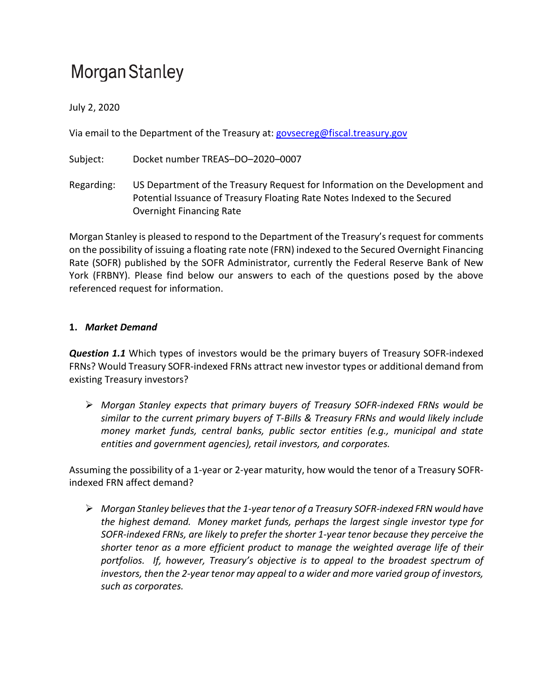# Morgan Stanley

July 2, 2020

Via email to the Department of the Treasury at[: govsecreg@fiscal.treasury.gov](mailto:govsecreg@fiscal.treasury.gov)

Subject: Docket number TREAS–DO–2020–0007

Regarding: US Department of the Treasury Request for Information on the Development and Potential Issuance of Treasury Floating Rate Notes Indexed to the Secured Overnight Financing Rate

Morgan Stanley is pleased to respond to the Department of the Treasury's request for comments on the possibility of issuing a floating rate note (FRN) indexed to the Secured Overnight Financing Rate (SOFR) published by the SOFR Administrator, currently the Federal Reserve Bank of New York (FRBNY). Please find below our answers to each of the questions posed by the above referenced request for information.

### **1.** *Market Demand*

*Question 1.1* Which types of investors would be the primary buyers of Treasury SOFR-indexed FRNs? Would Treasury SOFR-indexed FRNs attract new investor types or additional demand from existing Treasury investors?

 *Morgan Stanley expects that primary buyers of Treasury SOFR-indexed FRNs would be similar to the current primary buyers of T-Bills & Treasury FRNs and would likely include money market funds, central banks, public sector entities (e.g., municipal and state entities and government agencies), retail investors, and corporates.*

Assuming the possibility of a 1-year or 2-year maturity, how would the tenor of a Treasury SOFRindexed FRN affect demand?

 *Morgan Stanley believes that the 1-year tenor of a Treasury SOFR-indexed FRN would have the highest demand. Money market funds, perhaps the largest single investor type for SOFR-indexed FRNs, are likely to prefer the shorter 1-year tenor because they perceive the shorter tenor as a more efficient product to manage the weighted average life of their portfolios. If, however, Treasury's objective is to appeal to the broadest spectrum of investors, then the 2-year tenor may appeal to a wider and more varied group of investors, such as corporates.*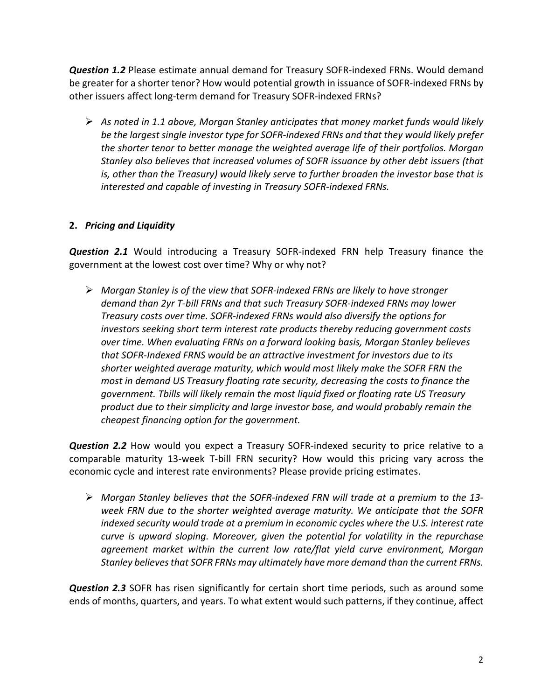*Question 1.2* Please estimate annual demand for Treasury SOFR-indexed FRNs. Would demand be greater for a shorter tenor? How would potential growth in issuance of SOFR-indexed FRNs by other issuers affect long-term demand for Treasury SOFR-indexed FRNs?

 *As noted in 1.1 above, Morgan Stanley anticipates that money market funds would likely be the largest single investor type for SOFR-indexed FRNs and that they would likely prefer the shorter tenor to better manage the weighted average life of their portfolios. Morgan Stanley also believes that increased volumes of SOFR issuance by other debt issuers (that is, other than the Treasury) would likely serve to further broaden the investor base that is interested and capable of investing in Treasury SOFR-indexed FRNs.* 

### **2.** *Pricing and Liquidity*

*Question 2.1* Would introducing a Treasury SOFR-indexed FRN help Treasury finance the government at the lowest cost over time? Why or why not?

 *Morgan Stanley is of the view that SOFR-indexed FRNs are likely to have stronger demand than 2yr T-bill FRNs and that such Treasury SOFR-indexed FRNs may lower Treasury costs over time. SOFR-indexed FRNs would also diversify the options for investors seeking short term interest rate products thereby reducing government costs over time. When evaluating FRNs on a forward looking basis, Morgan Stanley believes that SOFR-Indexed FRNS would be an attractive investment for investors due to its shorter weighted average maturity, which would most likely make the SOFR FRN the most in demand US Treasury floating rate security, decreasing the costs to finance the government. Tbills will likely remain the most liquid fixed or floating rate US Treasury product due to their simplicity and large investor base, and would probably remain the cheapest financing option for the government.* 

*Question 2.2* How would you expect a Treasury SOFR-indexed security to price relative to a comparable maturity 13-week T-bill FRN security? How would this pricing vary across the economic cycle and interest rate environments? Please provide pricing estimates.

 *Morgan Stanley believes that the SOFR-indexed FRN will trade at a premium to the 13 week FRN due to the shorter weighted average maturity. We anticipate that the SOFR indexed security would trade at a premium in economic cycles where the U.S. interest rate curve is upward sloping. Moreover, given the potential for volatility in the repurchase agreement market within the current low rate/flat yield curve environment, Morgan Stanley believes that SOFR FRNs may ultimately have more demand than the current FRNs.*

*Question 2.3* SOFR has risen significantly for certain short time periods, such as around some ends of months, quarters, and years. To what extent would such patterns, if they continue, affect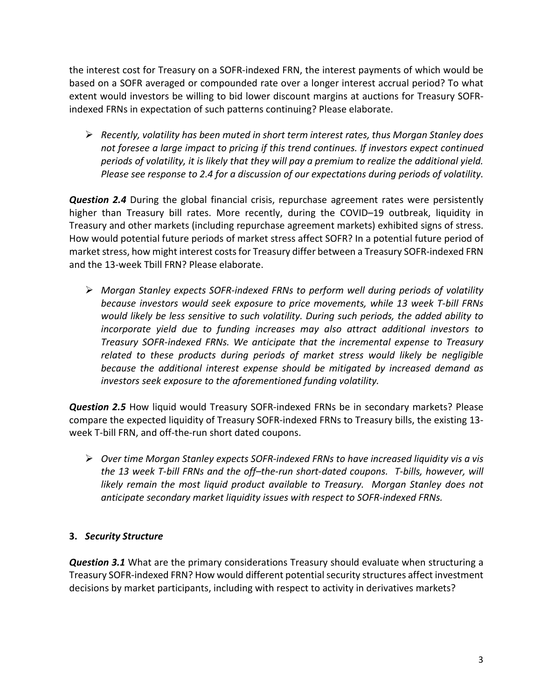the interest cost for Treasury on a SOFR-indexed FRN, the interest payments of which would be based on a SOFR averaged or compounded rate over a longer interest accrual period? To what extent would investors be willing to bid lower discount margins at auctions for Treasury SOFRindexed FRNs in expectation of such patterns continuing? Please elaborate.

 *Recently, volatility has been muted in short term interest rates, thus Morgan Stanley does not foresee a large impact to pricing if this trend continues. If investors expect continued periods of volatility, it is likely that they will pay a premium to realize the additional yield. Please see response to 2.4 for a discussion of our expectations during periods of volatility.*

*Question 2.4* During the global financial crisis, repurchase agreement rates were persistently higher than Treasury bill rates. More recently, during the COVID–19 outbreak, liquidity in Treasury and other markets (including repurchase agreement markets) exhibited signs of stress. How would potential future periods of market stress affect SOFR? In a potential future period of market stress, how might interest costs for Treasury differ between a Treasury SOFR-indexed FRN and the 13-week Tbill FRN? Please elaborate.

 *Morgan Stanley expects SOFR-indexed FRNs to perform well during periods of volatility because investors would seek exposure to price movements, while 13 week T-bill FRNs would likely be less sensitive to such volatility. During such periods, the added ability to incorporate yield due to funding increases may also attract additional investors to Treasury SOFR-indexed FRNs. We anticipate that the incremental expense to Treasury related to these products during periods of market stress would likely be negligible because the additional interest expense should be mitigated by increased demand as investors seek exposure to the aforementioned funding volatility.*

*Question 2.5* How liquid would Treasury SOFR-indexed FRNs be in secondary markets? Please compare the expected liquidity of Treasury SOFR-indexed FRNs to Treasury bills, the existing 13 week T-bill FRN, and off-the-run short dated coupons.

 *Over time Morgan Stanley expects SOFR-indexed FRNs to have increased liquidity vis a vis the 13 week T-bill FRNs and the off–the-run short-dated coupons. T-bills, however, will likely remain the most liquid product available to Treasury. Morgan Stanley does not anticipate secondary market liquidity issues with respect to SOFR-indexed FRNs.* 

### **3.** *Security Structure*

*Question 3.1* What are the primary considerations Treasury should evaluate when structuring a Treasury SOFR-indexed FRN? How would different potential security structures affect investment decisions by market participants, including with respect to activity in derivatives markets?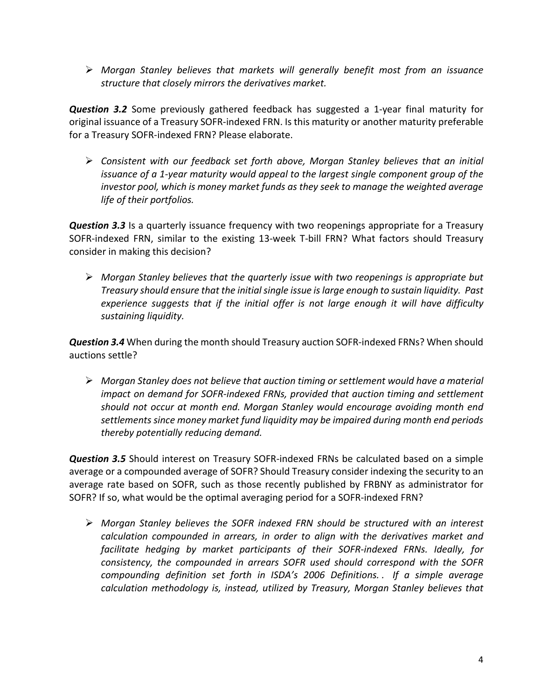*Morgan Stanley believes that markets will generally benefit most from an issuance structure that closely mirrors the derivatives market.* 

*Question 3.2* Some previously gathered feedback has suggested a 1-year final maturity for original issuance of a Treasury SOFR-indexed FRN. Is this maturity or another maturity preferable for a Treasury SOFR-indexed FRN? Please elaborate.

 *Consistent with our feedback set forth above, Morgan Stanley believes that an initial issuance of a 1-year maturity would appeal to the largest single component group of the investor pool, which is money market funds as they seek to manage the weighted average life of their portfolios.*

*Question 3.3* Is a quarterly issuance frequency with two reopenings appropriate for a Treasury SOFR-indexed FRN, similar to the existing 13-week T-bill FRN? What factors should Treasury consider in making this decision?

 *Morgan Stanley believes that the quarterly issue with two reopenings is appropriate but Treasury should ensure that the initial single issue is large enough to sustain liquidity. Past experience suggests that if the initial offer is not large enough it will have difficulty sustaining liquidity.*

*Question 3.4* When during the month should Treasury auction SOFR-indexed FRNs? When should auctions settle?

 *Morgan Stanley does not believe that auction timing or settlement would have a material impact on demand for SOFR-indexed FRNs, provided that auction timing and settlement should not occur at month end. Morgan Stanley would encourage avoiding month end settlements since money market fund liquidity may be impaired during month end periods thereby potentially reducing demand.* 

*Question 3.5* Should interest on Treasury SOFR-indexed FRNs be calculated based on a simple average or a compounded average of SOFR? Should Treasury consider indexing the security to an average rate based on SOFR, such as those recently published by FRBNY as administrator for SOFR? If so, what would be the optimal averaging period for a SOFR-indexed FRN?

 *Morgan Stanley believes the SOFR indexed FRN should be structured with an interest calculation compounded in arrears, in order to align with the derivatives market and facilitate hedging by market participants of their SOFR-indexed FRNs. Ideally, for consistency, the compounded in arrears SOFR used should correspond with the SOFR compounding definition set forth in ISDA's 2006 Definitions. . If a simple average calculation methodology is, instead, utilized by Treasury, Morgan Stanley believes that*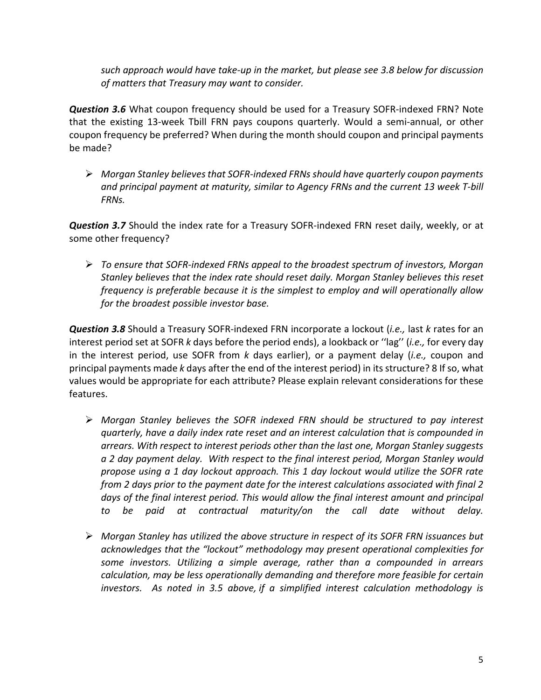*such approach would have take-up in the market, but please see 3.8 below for discussion of matters that Treasury may want to consider.*

*Question 3.6* What coupon frequency should be used for a Treasury SOFR-indexed FRN? Note that the existing 13-week Tbill FRN pays coupons quarterly. Would a semi-annual, or other coupon frequency be preferred? When during the month should coupon and principal payments be made?

 *Morgan Stanley believesthat SOFR-indexed FRNs should have quarterly coupon payments and principal payment at maturity, similar to Agency FRNs and the current 13 week T-bill FRNs.*

*Question 3.7* Should the index rate for a Treasury SOFR-indexed FRN reset daily, weekly, or at some other frequency?

 *To ensure that SOFR-indexed FRNs appeal to the broadest spectrum of investors, Morgan Stanley believes that the index rate should reset daily. Morgan Stanley believes this reset frequency is preferable because it is the simplest to employ and will operationally allow for the broadest possible investor base.*

*Question 3.8* Should a Treasury SOFR-indexed FRN incorporate a lockout (*i.e.,* last *k* rates for an interest period set at SOFR *k* days before the period ends), a lookback or ''lag'' (*i.e.,* for every day in the interest period, use SOFR from *k* days earlier), or a payment delay (*i.e.,* coupon and principal payments made *k* days after the end of the interest period) in its structure? 8 If so, what values would be appropriate for each attribute? Please explain relevant considerations for these features.

- *Morgan Stanley believes the SOFR indexed FRN should be structured to pay interest quarterly, have a daily index rate reset and an interest calculation that is compounded in arrears. With respect to interest periods other than the last one, Morgan Stanley suggests a 2 day payment delay. With respect to the final interest period, Morgan Stanley would propose using a 1 day lockout approach. This 1 day lockout would utilize the SOFR rate from 2 days prior to the payment date for the interest calculations associated with final 2*  days of the final interest period. This would allow the final interest amount and principal *to be paid at contractual maturity/on the call date without delay.*
- *Morgan Stanley has utilized the above structure in respect of its SOFR FRN issuances but acknowledges that the "lockout" methodology may present operational complexities for some investors. Utilizing a simple average, rather than a compounded in arrears calculation, may be less operationally demanding and therefore more feasible for certain investors. As noted in 3.5 above, if a simplified interest calculation methodology is*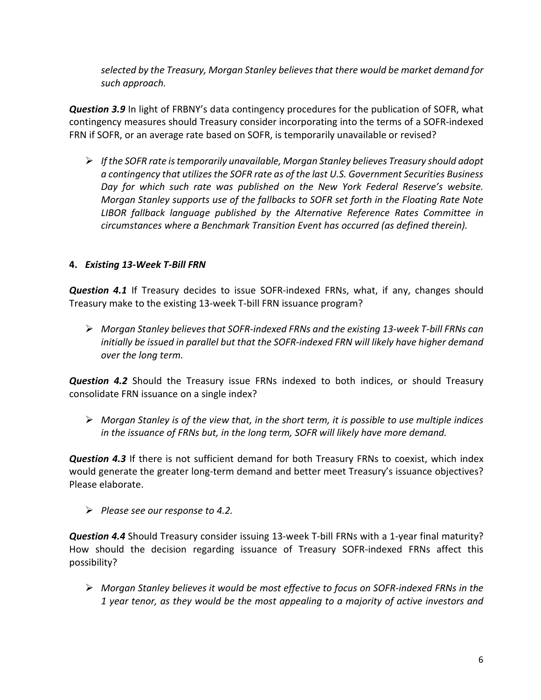*selected by the Treasury, Morgan Stanley believes that there would be market demand for such approach.*

*Question 3.9* In light of FRBNY's data contingency procedures for the publication of SOFR, what contingency measures should Treasury consider incorporating into the terms of a SOFR-indexed FRN if SOFR, or an average rate based on SOFR, is temporarily unavailable or revised?

 *If the SOFR rate is temporarily unavailable, Morgan Stanley believes Treasury should adopt a contingency that utilizesthe SOFR rate as of the last U.S. Government Securities Business Day for which such rate was published on the New York Federal Reserve's website. Morgan Stanley supports use of the fallbacks to SOFR set forth in the Floating Rate Note LIBOR fallback language published by the Alternative Reference Rates Committee in circumstances where a Benchmark Transition Event has occurred (as defined therein).*

### **4.** *Existing 13-Week T-Bill FRN*

*Question 4.1* If Treasury decides to issue SOFR-indexed FRNs, what, if any, changes should Treasury make to the existing 13-week T-bill FRN issuance program?

 *Morgan Stanley believes that SOFR-indexed FRNs and the existing 13-week T-bill FRNs can initially be issued in parallel but that the SOFR-indexed FRN will likely have higher demand over the long term.* 

*Question 4.2* Should the Treasury issue FRNs indexed to both indices, or should Treasury consolidate FRN issuance on a single index?

 *Morgan Stanley is of the view that, in the short term, it is possible to use multiple indices in the issuance of FRNs but, in the long term, SOFR will likely have more demand.* 

*Question 4.3* If there is not sufficient demand for both Treasury FRNs to coexist, which index would generate the greater long-term demand and better meet Treasury's issuance objectives? Please elaborate.

*Please see our response to 4.2.* 

*Question 4.4* Should Treasury consider issuing 13-week T-bill FRNs with a 1-year final maturity? How should the decision regarding issuance of Treasury SOFR-indexed FRNs affect this possibility?

 *Morgan Stanley believes it would be most effective to focus on SOFR-indexed FRNs in the 1 year tenor, as they would be the most appealing to a majority of active investors and*